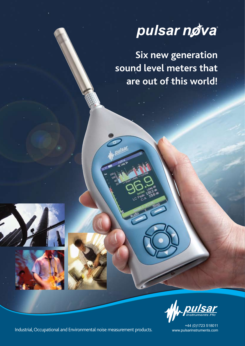

**Six new generation sound level meters that are out of this world!**







Industrial, Occupational and Environmental noise measurement products.

+44 (0)1723 518011 www.pulsarinstruments.com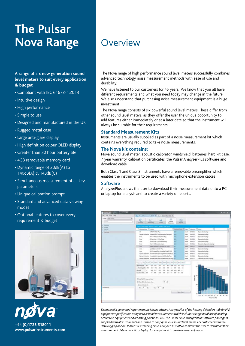# **The Pulsar Nova Range Overview**

### **A range of six new generation sound level meters to suit every application & budget**

- Compliant with IEC 61672-1:2013
- Intuitive design
- High performance
- Simple to use
- Designed and manufactured in the UK
- Rugged metal case
- Large anti-glare display
- High definition colour OLED display
- Greater than 30 hour battery life
- 4GB removable memory card
- Dynamic range of 20dB(A) to 140dB(A) & 143dB(C)
- Simultaneous measurement of all key parameters
- Unique calibration prompt
- Standard and advanced data viewing modes
- Optional features to cover every requirement & budget



The Nova range of high performance sound level meters successfully combines advanced technology noise measurement methods with ease of use and durability.

We have listened to our customers for 45 years. We know that you all have different requirements and what you need today may change in the future. We also understand that purchasing noise measurement equipment is a huge investment.

The Nova range consists of six powerful sound level meters. These differ from other sound level meters, as they offer the user the unique opportunity to add features either immediately or at a later date so that the instrument will always be suitable for their requirements.

### **Standard Measurement Kits**

Instruments are usually supplied as part of a noise measurement kit which contains everything required to take noise measurements.

### **The Nova kit contains:**

Nova sound level meter, acoustic calibrator, windshield, batteries, hard kit case, 7 year warranty, calibration certificates, the Pulsar AnalyzerPlus software and download cable.

Both Class 1 and Class 2 instruments have a removable preamplifier which enables the instruments to be used with microphone extension cables

### **Software**

AnalyzerPlus allows the user to download their measurement data onto a PC or laptop for analysis and to create a variety of reports.



*Example of a generated report with the Nova software AnalyzerPlus of the hearing defenders' tab for PPE equipment specification using octave band measurements which includes a large database of hearing protection equipment and reporting functions. NB. The Pulsar Nova 'AnalyzerPlus' software package is supplied with all instruments and is used to configure your sound level meter. For customers with the data logging option, Pulsar's outstanding Nova AnalyzerPlus software allows the user to download their measurement data onto a PC or laptop for analysis and to create a variety of reports.*

**+44 (0)1723 518011 www.pulsarinstruments.com**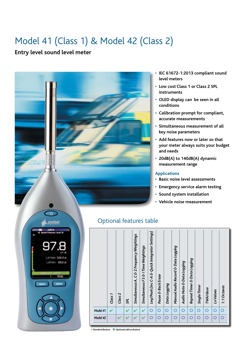# Model 41 (Class 1) & Model 42 (Class 2)

# **Entry level sound level meter**



### **• IEC 61672-1:2013 compliant sound level meters**

- **• Low cost Class 1 or Class 2 SPL instruments**
- **• OLED display can be seen in all conditions**
- **• Calibration prompt for compliant, accurate measurements**
- **• Simultaneous measurement of all key noise parameters**
- **• Add features now or later so that your meter always suits your budget and needs**
- **• 20dB(A) to 140dB(A) dynamic measurement range**

### **Applications**

- **• Basic noise level assessments**
- **• Emergency service alarm testing**
- **• Sound system installation**
- **• Vehicle noise measurement**

|          | Class <sub>1</sub>      | Class <sub>2</sub> | <b>ZdS</b> | Simultaneous A, C & Z Frequency Weightings | Simultaneous FS & I Time Weightings | Leq/Peak (inc C-A & Quick Integrator Settings) | Pause & Back Erase | Data Logging | Manual Audio Record & Data Logging | Audio Note & Data Logging | Repeat Timer & Data Logging | Single Timer | TWA/dose | <b>Ln Values</b> | 1:1 Octaves |
|----------|-------------------------|--------------------|------------|--------------------------------------------|-------------------------------------|------------------------------------------------|--------------------|--------------|------------------------------------|---------------------------|-----------------------------|--------------|----------|------------------|-------------|
| Model 41 | $\overline{\mathbf{v}}$ |                    | ✔          |                                            |                                     | ∩                                              | $\circ$            | $\circ$      | Ō                                  | $\circ$                   | $\bigcirc$                  | $\bigcirc$   | ∩        | O                | $\circ$     |
| Model 42 |                         | ✔                  |            |                                            |                                     | ∩                                              | $\bigcirc$         | $\circ$      | Ō                                  | $\circ$                   | Ο                           | Ο            | ∩        | O                | Ó           |

# Optional features table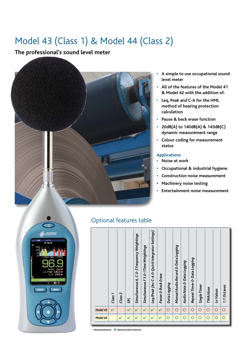# Model 43 (Class 1) & Model 44 (Class 2)

**The professional's sound level meter**



- **• A simple to use occupational sound level meter**
- **• All of the features of the Model 41 & Model 42 with the addition of:**
- **• Leq, Peak and C-A for the HML method of hearing protection calculation**
- **• Pause & back erase function**
- **• 20dB(A) to 140dB(A) & 143dB(C) dynamic measurement range**
- **• Colour coding for measurement status**

### **Applications**

- **• Noise at work**
- **• Occupational & industrial hygiene**
- **• Construction noise measurement**
- **• Machinery noise testing**
- **• Entertainment noise measurement**



# Optional features table

|          | Class <sub>1</sub> | Class <sub>2</sub> | <b>ZdS</b>               | Simultaneous A, C & Z Frequency Weightings | Simultaneous FS & I Time Weightings | Leq/Peak (inc C-A & Quick Integrator Settings) | Pause & Back Erase      | Data Logging | Manual Audio Record & Data Logging | Audio Note & Data Logging | Repeat Timer & Data Logging | Single Timer | TWA/dose | <b>Ln Values</b> | 1:1 Octaves |
|----------|--------------------|--------------------|--------------------------|--------------------------------------------|-------------------------------------|------------------------------------------------|-------------------------|--------------|------------------------------------|---------------------------|-----------------------------|--------------|----------|------------------|-------------|
| Model 43 | V                  |                    | $\overline{\mathcal{L}}$ | $\overline{\mathcal{L}}$                   | $\boldsymbol{v}$                    | ✔                                              | V                       | $\circ$      | ∩                                  | O                         | $\overline{O}$              | Ō            | $\circ$  | $\overline{O}$   | $\circ$     |
| Model 44 |                    | V                  |                          |                                            | J                                   | v                                              | $\overline{\mathbf{v}}$ | O            | ∩                                  | ∩                         | Ω                           | Ω            | $\circ$  | O                | O           |

4*Standard feature* **O** *Optional add on feature*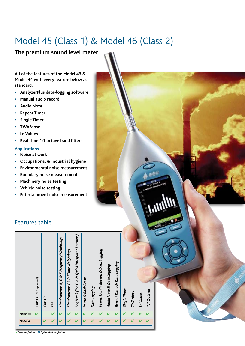# Model 45 (Class 1) & Model 46 (Class 2)

# **The premium sound level meter**

**All of the features of the Model 43 & Model 44 with every feature below as standard:**

- **• AnalyzerPlus data-logging software**
- **• Manual audio record**
- **• Audio Note**
- **• Repeat Timer**
- **• Single Timer**
- **• TWA/dose**
- **• Ln Values**
- **• Real time 1:1 octave band filters**

### **Applications**

- **• Noise at work**
- **• Occupational & industrial hygiene**
- **• Environmental noise measurement**
- **• Boundary noise measurement**
- **• Machinery noise testing**
- **• Vehicle noise testing**
- **• Entertainment noise measurement**

# Features table

|          | Class 1 (PTB approved) | Class <sub>2</sub>       | <b>ZdS</b> | Simultaneous A, C & Z Frequency Weightings | Simultaneous FS & I Time Weightings | Leq/Peak (inc C-A & Quick Integrator Settings) | Pause & Back Erase | Data Logging | Manual Audio Record & Data Logging | Audio Note & Data Logging | Repeat Timer & Data Logging | Single Timer | TWA/dose                 | <b>Ln Values</b> | 1:1 Octaves |  |
|----------|------------------------|--------------------------|------------|--------------------------------------------|-------------------------------------|------------------------------------------------|--------------------|--------------|------------------------------------|---------------------------|-----------------------------|--------------|--------------------------|------------------|-------------|--|
| Model 45 | V                      |                          | ✓          | $\overline{\mathbf{v}}$                    | $\checkmark$                        | $\checkmark$                                   | $\checkmark$       | ✔            | ✔                                  |                           |                             |              | $\overline{\mathcal{L}}$ | $\checkmark$     |             |  |
| Model 46 |                        | $\overline{\mathcal{L}}$ | v          |                                            |                                     |                                                |                    | J            |                                    |                           |                             |              |                          |                  |             |  |